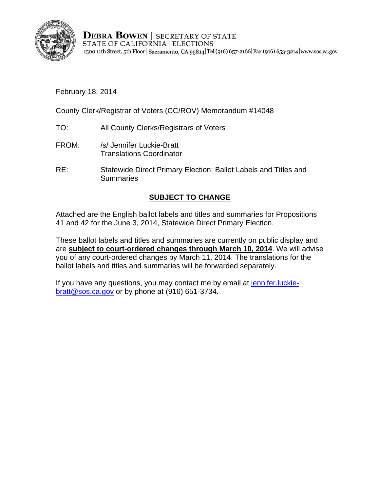

**DEBRA BOWEN | SECRETARY OF STATE** STATE OF CALIFORNIA | ELECTIONS 1500 11th Street, 5th Floor | Sacramento, CA 95814 Tel (916) 657-2166 | Fax (916) 653-3214 | www.sos.ca.gov

# February 18, 2014

County Clerk/Registrar of Voters (CC/ROV) Memorandum #14048

- TO: All County Clerks/Registrars of Voters
- FROM: /s/ Jennifer Luckie-Bratt Translations Coordinator
- RE: Statewide Direct Primary Election: Ballot Labels and Titles and **Summaries**

# **SUBJECT TO CHANGE**

Attached are the English ballot labels and titles and summaries for Propositions 41 and 42 for the June 3, 2014, Statewide Direct Primary Election.

These ballot labels and titles and summaries are currently on public display and are **subject to court-ordered changes through March 10, 2014**. We will advise you of any court-ordered changes by March 11, 2014. The translations for the ballot labels and titles and summaries will be forwarded separately.

If you have any questions, you may contact me by email at jennifer. luckiebratt@sos.ca.gov or by phone at (916) 651-3734.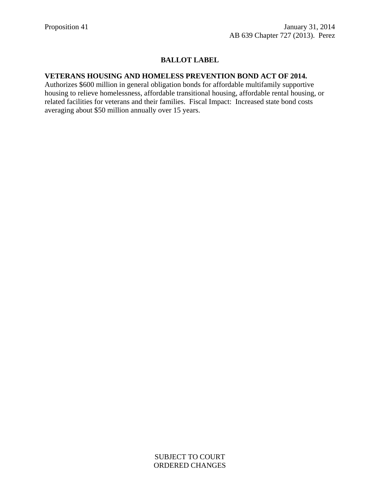## **BALLOT LABEL**

#### **VETERANS HOUSING AND HOMELESS PREVENTION BOND ACT OF 2014.**

Authorizes \$600 million in general obligation bonds for affordable multifamily supportive housing to relieve homelessness, affordable transitional housing, affordable rental housing, or related facilities for veterans and their families. Fiscal Impact: Increased state bond costs averaging about \$50 million annually over 15 years.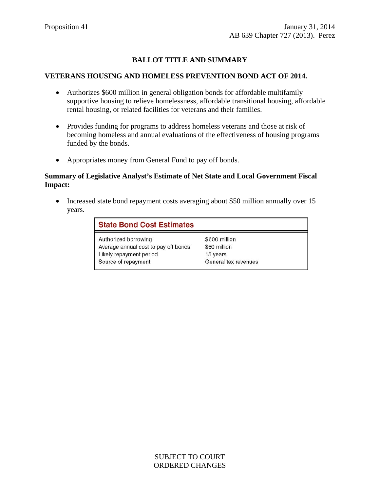## **BALLOT TITLE AND SUMMARY**

#### **VETERANS HOUSING AND HOMELESS PREVENTION BOND ACT OF 2014.**

- Authorizes \$600 million in general obligation bonds for affordable multifamily supportive housing to relieve homelessness, affordable transitional housing, affordable rental housing, or related facilities for veterans and their families.
- Provides funding for programs to address homeless veterans and those at risk of becoming homeless and annual evaluations of the effectiveness of housing programs funded by the bonds.
- Appropriates money from General Fund to pay off bonds.

### **Summary of Legislative Analyst's Estimate of Net State and Local Government Fiscal Impact:**

• Increased state bond repayment costs averaging about \$50 million annually over 15 years.

| <b>State Bond Cost Estimates</b>     |                      |
|--------------------------------------|----------------------|
| Authorized borrowing                 | \$600 million        |
| Average annual cost to pay off bonds | \$50 million         |
| Likely repayment period              | 15 years             |
| Source of repayment                  | General tax revenues |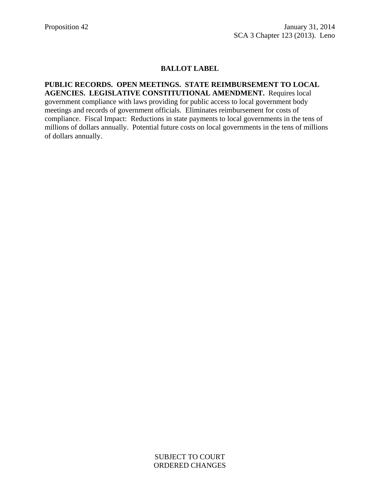## **BALLOT LABEL**

## **PUBLIC RECORDS. OPEN MEETINGS. STATE REIMBURSEMENT TO LOCAL AGENCIES. LEGISLATIVE CONSTITUTIONAL AMENDMENT.** Requires local government compliance with laws providing for public access to local government body

meetings and records of government officials. Eliminates reimbursement for costs of compliance. Fiscal Impact: Reductions in state payments to local governments in the tens of millions of dollars annually. Potential future costs on local governments in the tens of millions of dollars annually.